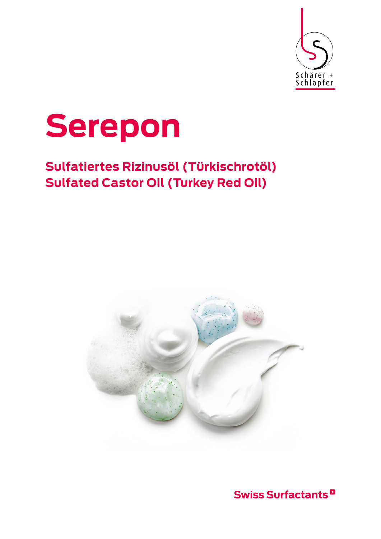



# **Sulfatiertes Rizinusöl (Türkischrotöl) Sulfated Castor Oil (Turkey Red Oil)**



**Swiss Surfactants<sup>D</sup>**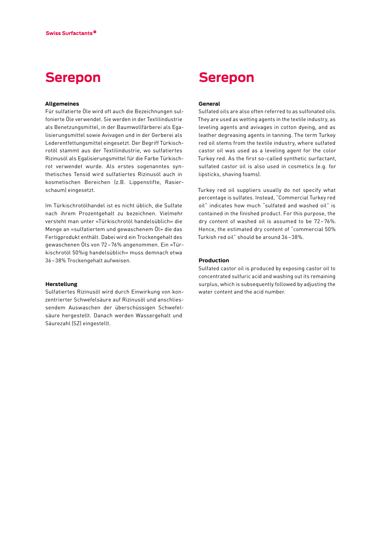## **Serepon**

### **Allgemeines**

Für sulfatierte Öle wird oft auch die Bezeichnungen sul‑ fonierte Öle verwendet. Sie werden in der Textilindustrie als Benetzungsmittel, in der Baumwollfärberei als Egalisierungsmittel sowie Avivagen und in der Gerberei als Lederentfettungsmittel eingesetzt. Der Begriff Türkischrotöl stammt aus der Textilindustrie, wo sulfatiertes Rizinusöl als Egalisierungsmittel für die Farbe Türkisch‑ rot verwendet wurde. Als erstes sogenanntes synthetisches Tensid wird sulfatiertes Rizinusöl auch in kosmetischen Bereichen (z.B. Lippenstifte, Rasierschaum) eingesetzt.

Im Türkischrotölhandel ist es nicht üblich, die Sulfate nach ihrem Prozentgehalt zu bezeichnen. Vielmehr versteht man unter «Türkischrotöl handelsüblich» die Menge an «sulfatiertem und gewaschenem Öl» die das Fertigprodukt enthält. Dabei wird ein Trockengehalt des gewaschenen Öls von 72–76% angenommen. Ein «Tür‑ kischrotöl 50%ig handelsüblich» muss demnach etwa 36–38% Trockengehalt aufweisen.

## **Herstellung**

Sulfatiertes Rizinusöl wird durch Einwirkung von kon‑ zentrierter Schwefelsäure auf Rizinusöl und anschliessendem Auswaschen der überschüssigen Schwefelsäure hergestellt. Danach werden Wassergehalt und Säurezahl (SZ) eingestellt.

## **Serepon**

#### **General**

Sulfated oils are also often referred to as sulfonated oils. They are used as wetting agents in the textile industry, as leveling agents and avivages in cotton dyeing, and as leather degreasing agents in tanning. The term Turkey red oil stems from the textile industry, where sulfated castor oil was used as a leveling agent for the color Turkey red. As the first so-called synthetic surfactant, sulfated castor oil is also used in cosmetics (e.g. for lipsticks, shaving foams).

Turkey red oil suppliers usually do not specify what percentage is sulfates. Instead, "Commercial Turkey red oil" indicates how much "sulfated and washed oil" is contained in the finished product. For this purpose, the dry content of washed oil is assumed to be 72–76%. Hence, the estimated dry content of "commercial 50% Turkish red oil" should be around 36–38%.

## **Production**

Sulfated castor oil is produced by exposing castor oil to concentrated sulfuric acid and washing out its remaining surplus, which is subsequently followed by adjusting the water content and the acid number.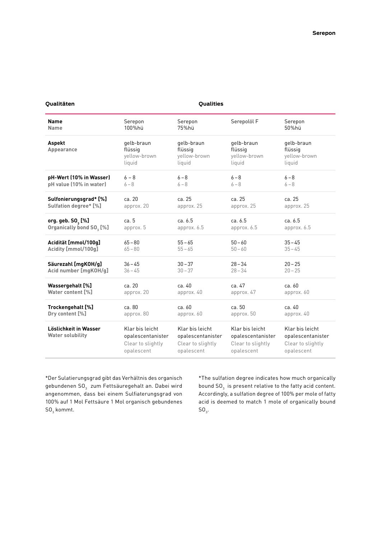## **Qualitäten Qualities**

| <b>Name</b>                                      | Serepon                                                                 | Serepon                                                                 | Serepolöl F                                                             | Serepon                                                                 |
|--------------------------------------------------|-------------------------------------------------------------------------|-------------------------------------------------------------------------|-------------------------------------------------------------------------|-------------------------------------------------------------------------|
| <b>Name</b>                                      | 100%hü                                                                  | 75%hü                                                                   |                                                                         | 50%hü                                                                   |
| Aspekt<br>Appearance                             | gelb-braun<br>flüssig<br>yellow-brown<br>liquid                         | gelb-braun<br>flüssig<br>yellow-brown<br>liquid                         | gelb-braun<br>flüssig<br>yellow-brown<br>liquid                         | gelb-braun<br>flüssig<br>yellow-brown<br>liquid                         |
| pH-Wert (10% in Wasser)                          | $6 - 8$                                                                 | $6 - 8$                                                                 | $6 - 8$                                                                 | $6 - 8$                                                                 |
| pH value (10% in water)                          | $6 - 8$                                                                 | $6 - 8$                                                                 | $6 - 8$                                                                 | $6 - 8$                                                                 |
| Sulfonierungsgrad* [%]                           | ca. 20                                                                  | ca. 25                                                                  | ca. 25                                                                  | ca. 25                                                                  |
| Sulfation degree* [%]                            | approx. 20                                                              | approx. 25                                                              | approx. 25                                                              | approx. 25                                                              |
| org. geb. SO, [%]                                | ca.5                                                                    | ca. 6.5                                                                 | ca. 6.5                                                                 | ca. 6.5                                                                 |
| Organically bond SO <sub>3</sub> [%]             | approx. 5                                                               | approx. 6.5                                                             | approx. 6.5                                                             | approx. 6.5                                                             |
| Acidität [mmol/100g]                             | $65 - 80$                                                               | $55 - 65$                                                               | $50 - 60$                                                               | $35 - 45$                                                               |
| Acidity [mmol/100g]                              | $65 - 80$                                                               | $55 - 65$                                                               | $50 - 60$                                                               | $35 - 45$                                                               |
| Säurezahl [mgKOH/g]                              | $36 - 45$                                                               | $30 - 37$                                                               | $28 - 34$                                                               | $20 - 25$                                                               |
| Acid number [mqKOH/q]                            | $36 - 45$                                                               | $30 - 37$                                                               | $28 - 34$                                                               | $20 - 25$                                                               |
| Wassergehalt [%]                                 | ca. 20                                                                  | ca. 40                                                                  | ca. 47                                                                  | ca. 60                                                                  |
| Water content [%]                                | approx. 20                                                              | approx. 40                                                              | approx. 47                                                              | approx. 60                                                              |
| Trockengehalt [%]                                | ca.80                                                                   | ca.60                                                                   | ca.50                                                                   | ca. 40                                                                  |
| Dry content [%]                                  | approx. 80                                                              | approx. 60                                                              | approx. 50                                                              | approx. 40                                                              |
| Löslichkeit in Wasser<br><b>Water solubility</b> | Klar bis leicht<br>opalescentanister<br>Clear to slightly<br>opalescent | Klar bis leicht<br>opalescentanister<br>Clear to slightly<br>opalescent | Klar bis leicht<br>opalescentanister<br>Clear to slightly<br>opalescent | Klar bis leicht<br>opalescentanister<br>Clear to slightly<br>opalescent |
|                                                  |                                                                         |                                                                         |                                                                         |                                                                         |

\*Der Sulatierungsgrad gibt das Verhältnis des organisch gebundenen SO $_{\scriptscriptstyle 3}^{\scriptscriptstyle +}$  zum Fettsäuregehalt an. Dabei wird angenommen, dass bei einem Sulfiaterungsgrad von 100% auf 1 Mol Fettsäure 1 Mol organisch gebundenes  $\mathsf{SO}_3$  kommt.

\*The sulfation degree indicates how much organically bound  $\mathsf{SO}_3^+$  is present relative to the fatty acid content. Accordingly, a sulfation degree of 100% per mole of fatty acid is deemed to match 1 mole of organically bound  $\mathsf{SO}_3$ .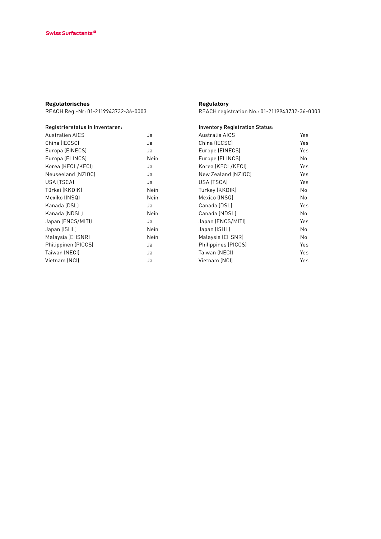## **Regulatorisches**

REACH Reg.-Nr: 01-2119943732-36-0003

| Registrierstatus in Inventaren: |      |
|---------------------------------|------|
| <b>Australien AICS</b>          | Ja   |
| China (IECSC)                   | Ja   |
| Europa (EINECS)                 | Ja   |
| Europa (ELINCS)                 | Nein |
| Korea (KECL/KECI)               | Ja   |
| Neuseeland (NZIOC)              | Ja   |
| USA (TSCA)                      | Ja   |
| Türkei (KKDIK)                  | Nein |
| Mexiko (INSQ)                   | Nein |
| Kanada (DSL)                    | Ja   |
| Kanada (NDSL)                   | Nein |
| Japan (ENCS/MITI)               | Ja   |
| Japan (ISHL)                    | Nein |
| Malaysia (EHSNR)                | Nein |
| Philippinen (PICCS)             | Ja   |
| Taiwan (NECI)                   | Ja   |
| Vietnam (NCI)                   | Ja   |

## **Regulatory**

REACH registration No.: 01-2119943732-36-0003

| <b>Inventory Registration Status:</b> |     |
|---------------------------------------|-----|
| Australia AICS                        | Yes |
| China (IECSC)                         | Yes |
| Europe (EINECS)                       | Yes |
| Europe (ELINCS)                       | No. |
| Korea (KECL/KECI)                     | Yes |
| New Zealand (NZIOC)                   | Yes |
| USA (TSCA)                            | Yes |
| Turkey (KKDIK)                        | No  |
| Mexico (INSQ)                         | No  |
| Canada (DSL)                          | Yes |
| Canada (NDSL)                         | No  |
| Japan (ENCS/MITI)                     | Yes |
| Japan (ISHL)                          | No  |
| Malaysia (EHSNR)                      | No  |
| Philippines (PICCS)                   | Yes |
| Taiwan (NECI)                         | Yes |
| Vietnam (NCI)                         | Yes |
|                                       |     |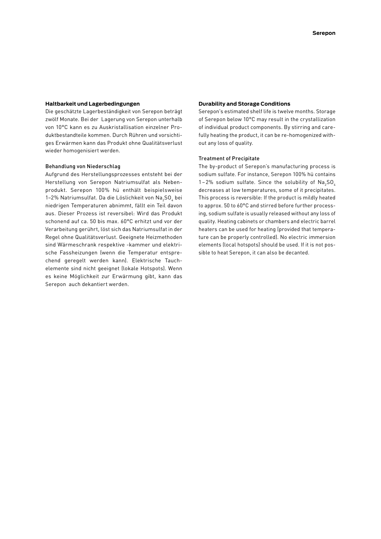#### **Haltbarkeit und Lagerbedingungen**

Die geschätzte Lagerbeständigkeit von Serepon beträgt zwölf Monate. Bei der Lagerung von Serepon unterhalb von 10°C kann es zu Auskristallisation einzelner Pro‑ duktbestandteile kommen. Durch Rühren und vorsichtiges Erwärmen kann das Produkt ohne Qualitätsverlust wieder homogenisiert werden.

### Behandlung von Niederschlag

Aufgrund des Herstellungsprozesses entsteht bei der Herstellung von Serepon Natriumsulfat als Nebenprodukt. Serepon 100% hü enthält beispielsweise 1–2% Natriumsulfat. Da die Löslichkeit von Na $_{\rm 2}$ SO $_{\rm 4}$  bei niedrigen Temperaturen abnimmt, fällt ein Teil davon aus. Dieser Prozess ist reversibel: Wird das Produkt schonend auf ca. 50 bis max. 60°C erhitzt und vor der Verarbeitung gerührt, löst sich das Natriumsulfat in der Regel ohne Qualitätsverlust. Geeignete Heizmethoden sind Wärmeschrank respektive -kammer und elektrische Fassheizungen (wenn die Temperatur entspre‑ chend geregelt werden kann). Elektrische Tauch‑ elemente sind nicht geeignet (lokale Hotspots). Wenn es keine Möglichkeit zur Erwärmung gibt, kann das Serepon auch dekantiert werden.

#### **Durability and Storage Conditions**

Serepon's estimated shelf life is twelve months. Storage of Serepon below 10°C may result in the crystallization of individual product components. By stirring and carefully heating the product, it can be re-homogenized without any loss of quality.

## Treatment of Precipitate

The by-product of Serepon's manufacturing process is sodium sulfate. For instance, Serepon 100% hü contains 1–2% sodium sulfate. Since the solubility of  $\text{Na}_2\text{SO}_4$ decreases at low temperatures, some of it precipitates. This process is reversible: If the product is mildly heated to approx. 50 to 60°C and stirred before further processing, sodium sulfate is usually released without any loss of quality. Heating cabinets or chambers and electric barrel heaters can be used for heating (provided that temperature can be properly controlled). No electric immersion elements (local hotspots) should be used. If it is not possible to heat Serepon, it can also be decanted.